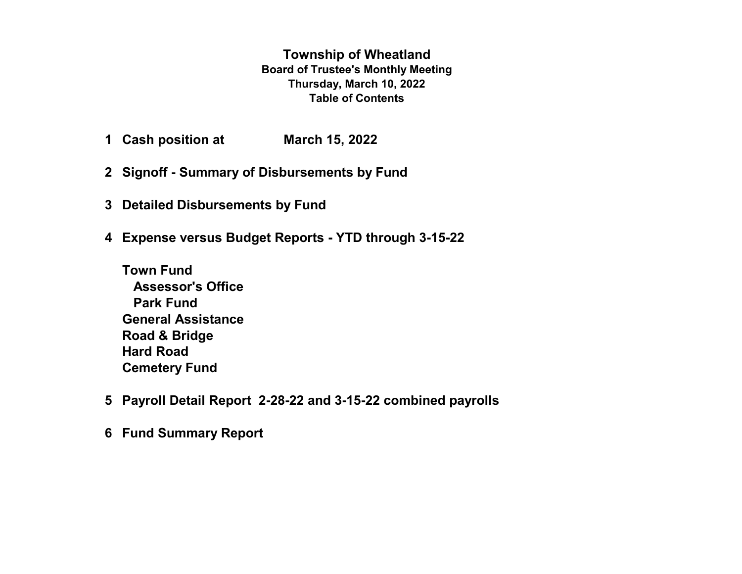**Township of Wheatland Board of Trustee's Monthly Meeting Thursday, March 10, 2022 Table of Contents**

- **1 Cash position at March 15, 2022**
- **2 Signoff Summary of Disbursements by Fund**
- **3 Detailed Disbursements by Fund**
- **4 Expense versus Budget Reports YTD through 3-15-22**
	- **Town Fund Assessor's Office Park Fund General Assistance Road & Bridge Hard Road Cemetery Fund**
- **5 Payroll Detail Report 2-28-22 and 3-15-22 combined payrolls**
- **6 Fund Summary Report**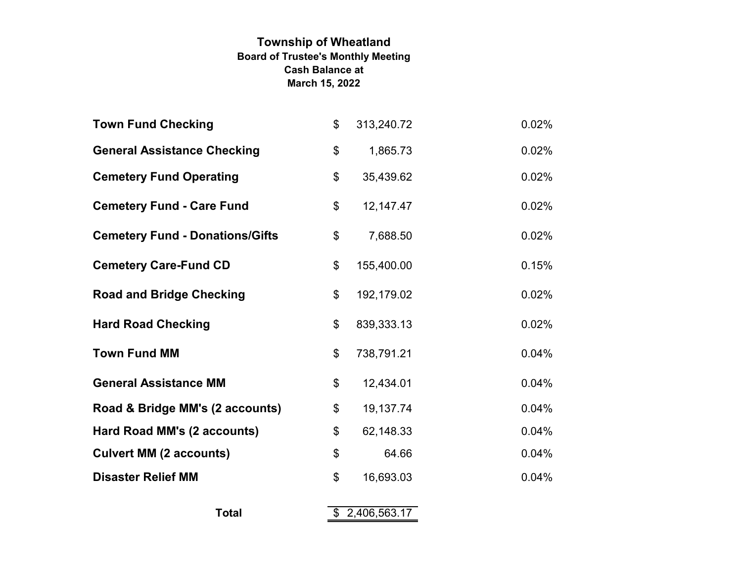# **Township of Wheatland Board of Trustee's Monthly Meeting March 15, 2022 Cash Balance at**

| <b>Town Fund Checking</b>              | \$                        | 313,240.72     | 0.02% |
|----------------------------------------|---------------------------|----------------|-------|
| <b>General Assistance Checking</b>     | \$                        | 1,865.73       | 0.02% |
| <b>Cemetery Fund Operating</b>         | \$                        | 35,439.62      | 0.02% |
| <b>Cemetery Fund - Care Fund</b>       | \$                        | 12,147.47      | 0.02% |
| <b>Cemetery Fund - Donations/Gifts</b> | \$                        | 7,688.50       | 0.02% |
| <b>Cemetery Care-Fund CD</b>           | \$                        | 155,400.00     | 0.15% |
| <b>Road and Bridge Checking</b>        | $\boldsymbol{\mathsf{S}}$ | 192,179.02     | 0.02% |
| <b>Hard Road Checking</b>              | $\boldsymbol{\mathsf{S}}$ | 839,333.13     | 0.02% |
| <b>Town Fund MM</b>                    | \$                        | 738,791.21     | 0.04% |
| <b>General Assistance MM</b>           | \$                        | 12,434.01      | 0.04% |
| Road & Bridge MM's (2 accounts)        | \$                        | 19,137.74      | 0.04% |
| Hard Road MM's (2 accounts)            | \$                        | 62,148.33      | 0.04% |
| <b>Culvert MM (2 accounts)</b>         | \$                        | 64.66          | 0.04% |
| <b>Disaster Relief MM</b>              | $\boldsymbol{\mathsf{S}}$ | 16,693.03      | 0.04% |
| <b>Total</b>                           |                           | \$2,406,563.17 |       |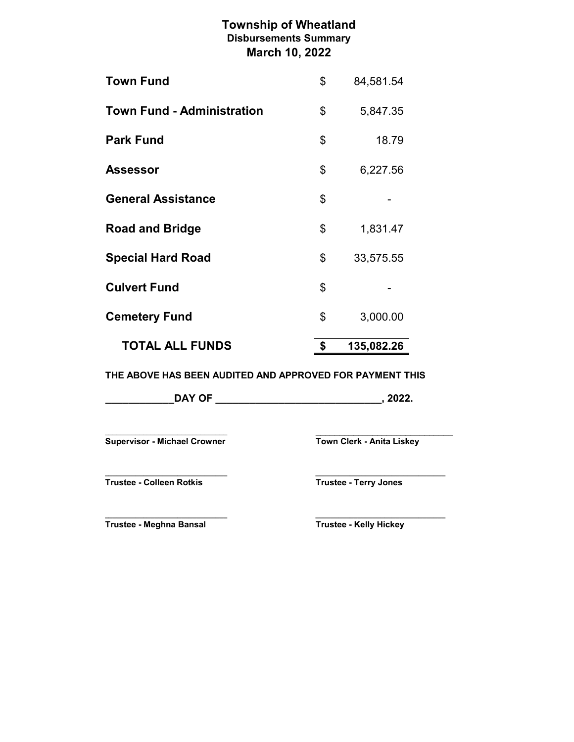# **Township of Wheatland March 10, 2022 Disbursements Summary**

| <b>TOTAL ALL FUNDS</b>            | \$<br>135,082.26 |
|-----------------------------------|------------------|
| <b>Cemetery Fund</b>              | \$<br>3,000.00   |
| <b>Culvert Fund</b>               | \$               |
| <b>Special Hard Road</b>          | \$<br>33,575.55  |
| <b>Road and Bridge</b>            | \$<br>1,831.47   |
| <b>General Assistance</b>         | \$               |
| <b>Assessor</b>                   | \$<br>6,227.56   |
| <b>Park Fund</b>                  | \$<br>18.79      |
| <b>Town Fund - Administration</b> | \$<br>5,847.35   |
| <b>Town Fund</b>                  | \$<br>84,581.54  |

**THE ABOVE HAS BEEN AUDITED AND APPROVED FOR PAYMENT THIS**

| <b>DAY OF</b> |  |  |
|---------------|--|--|
|---------------|--|--|

\_\_\_\_\_\_\_\_\_\_\_\_\_\_\_\_\_\_\_\_\_\_\_\_\_\_\_\_\_\_\_\_ \_\_\_\_\_\_\_\_\_\_\_\_\_\_\_\_\_\_\_\_\_\_\_\_\_\_\_\_\_ **Supervisor - Michael Crowner Town Clerk - Anita Liskey** 

**Trustee - Colleen Rotkis Trustee - Terry Jones**

**\_\_\_\_\_\_\_\_\_\_\_\_\_\_\_\_\_\_\_\_\_\_\_\_\_\_\_\_\_\_\_\_ \_\_\_\_\_\_\_\_\_\_\_\_\_\_\_\_\_\_\_\_\_\_\_\_\_\_\_\_\_\_\_\_\_\_**

**\_\_\_\_\_\_\_\_\_\_\_\_\_\_\_\_\_\_\_\_\_\_\_\_\_\_\_\_\_\_\_\_ \_\_\_\_\_\_\_\_\_\_\_\_\_\_\_\_\_\_\_\_\_\_\_\_\_\_\_\_\_\_\_\_\_\_ Trustee - Meghna Bansal Trustee - Kelly Hickey**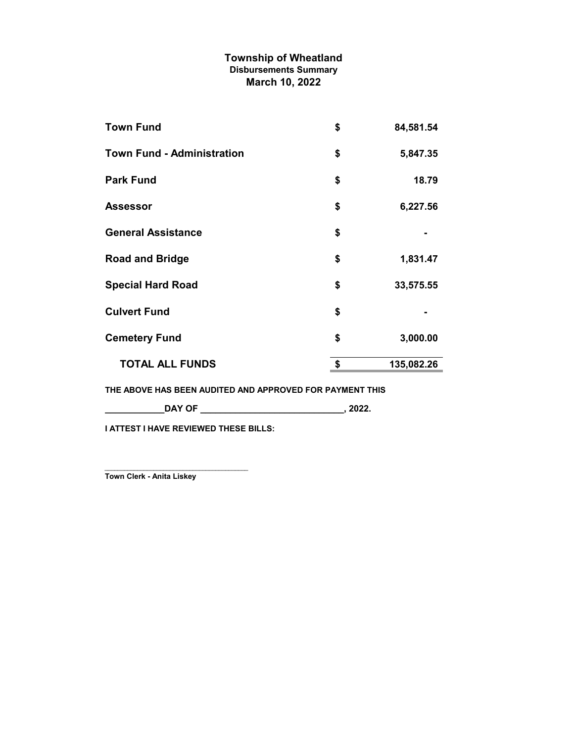# **Township of Wheatland March 10, 2022 Disbursements Summary**

| <b>Town Fund</b>                  | \$<br>84,581.54  |
|-----------------------------------|------------------|
| <b>Town Fund - Administration</b> | \$<br>5,847.35   |
| <b>Park Fund</b>                  | \$<br>18.79      |
| <b>Assessor</b>                   | \$<br>6,227.56   |
| <b>General Assistance</b>         | \$               |
| <b>Road and Bridge</b>            | \$<br>1,831.47   |
| <b>Special Hard Road</b>          | \$<br>33,575.55  |
| <b>Culvert Fund</b>               | \$               |
| <b>Cemetery Fund</b>              | \$<br>3,000.00   |
| <b>TOTAL ALL FUNDS</b>            | \$<br>135,082.26 |
|                                   |                  |

**THE ABOVE HAS BEEN AUDITED AND APPROVED FOR PAYMENT THIS**

**\_\_\_\_\_\_\_\_\_\_\_\_DAY OF \_\_\_\_\_\_\_\_\_\_\_\_\_\_\_\_\_\_\_\_\_\_\_\_\_\_\_\_\_, 2022.**

**I ATTEST I HAVE REVIEWED THESE BILLS:**

\_\_\_\_\_\_\_\_\_\_\_\_\_\_\_\_\_\_\_\_\_\_\_\_\_\_\_\_\_\_\_\_\_\_\_\_\_\_\_\_\_\_\_\_ **Town Clerk - Anita Liskey**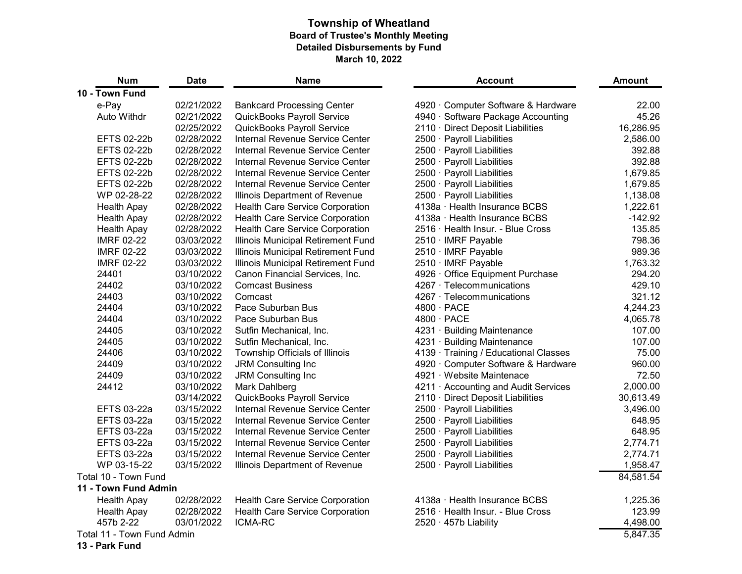# **Township of Wheatland Board of Trustee's Monthly Meeting Detailed Disbursements by Fund March 10, 2022**

| <b>Num</b>                        | <b>Date</b> | <b>Name</b>                               | <b>Account</b>                      | <b>Amount</b> |
|-----------------------------------|-------------|-------------------------------------------|-------------------------------------|---------------|
| 10 - Town Fund                    |             |                                           |                                     |               |
| e-Pay                             | 02/21/2022  | <b>Bankcard Processing Center</b>         | 4920 Computer Software & Hardware   | 22.00         |
| <b>Auto Withdr</b>                | 02/21/2022  | <b>QuickBooks Payroll Service</b>         | 4940 · Software Package Accounting  | 45.26         |
|                                   | 02/25/2022  | <b>QuickBooks Payroll Service</b>         | 2110 Direct Deposit Liabilities     | 16,286.95     |
| <b>EFTS 02-22b</b>                | 02/28/2022  | <b>Internal Revenue Service Center</b>    | 2500 · Payroll Liabilities          | 2,586.00      |
| <b>EFTS 02-22b</b>                | 02/28/2022  | <b>Internal Revenue Service Center</b>    | 2500 Payroll Liabilities            | 392.88        |
| <b>EFTS 02-22b</b>                | 02/28/2022  | Internal Revenue Service Center           | 2500 · Payroll Liabilities          | 392.88        |
| <b>EFTS 02-22b</b>                | 02/28/2022  | Internal Revenue Service Center           | 2500 Payroll Liabilities            | 1,679.85      |
| <b>EFTS 02-22b</b>                | 02/28/2022  | <b>Internal Revenue Service Center</b>    | 2500 · Payroll Liabilities          | 1,679.85      |
| WP 02-28-22                       | 02/28/2022  | Illinois Department of Revenue            | 2500 · Payroll Liabilities          | 1,138.08      |
| <b>Health Apay</b>                | 02/28/2022  | <b>Health Care Service Corporation</b>    | 4138a Health Insurance BCBS         | 1,222.61      |
| <b>Health Apay</b>                | 02/28/2022  | <b>Health Care Service Corporation</b>    | 4138a Health Insurance BCBS         | $-142.92$     |
| <b>Health Apay</b>                | 02/28/2022  | <b>Health Care Service Corporation</b>    | 2516 · Health Insur. - Blue Cross   | 135.85        |
| <b>IMRF 02-22</b>                 | 03/03/2022  | Illinois Municipal Retirement Fund        | 2510 · IMRF Payable                 | 798.36        |
| <b>IMRF 02-22</b>                 | 03/03/2022  | Illinois Municipal Retirement Fund        | 2510 · IMRF Payable                 | 989.36        |
| <b>IMRF 02-22</b>                 | 03/03/2022  | <b>Illinois Municipal Retirement Fund</b> | 2510 · IMRF Payable                 | 1,763.32      |
| 24401                             | 03/10/2022  | Canon Financial Services, Inc.            | 4926 Office Equipment Purchase      | 294.20        |
| 24402                             | 03/10/2022  | <b>Comcast Business</b>                   | 4267 Telecommunications             | 429.10        |
| 24403                             | 03/10/2022  | Comcast                                   | 4267 Telecommunications             | 321.12        |
| 24404                             | 03/10/2022  | Pace Suburban Bus                         | $4800 \cdot PACE$                   | 4,244.23      |
| 24404                             | 03/10/2022  | Pace Suburban Bus                         | $4800 \cdot PACE$                   | 4,065.78      |
| 24405                             | 03/10/2022  | Sutfin Mechanical, Inc.                   | 4231 Building Maintenance           | 107.00        |
| 24405                             | 03/10/2022  | Sutfin Mechanical, Inc.                   | 4231 Building Maintenance           | 107.00        |
| 24406                             | 03/10/2022  | Township Officials of Illinois            | 4139 Training / Educational Classes | 75.00         |
| 24409                             | 03/10/2022  | <b>JRM Consulting Inc.</b>                | 4920 Computer Software & Hardware   | 960.00        |
| 24409                             | 03/10/2022  | <b>JRM Consulting Inc</b>                 | 4921 Website Maintenace             | 72.50         |
| 24412                             | 03/10/2022  | Mark Dahlberg                             | 4211 Accounting and Audit Services  | 2,000.00      |
|                                   | 03/14/2022  | <b>QuickBooks Payroll Service</b>         | 2110 Direct Deposit Liabilities     | 30,613.49     |
| <b>EFTS 03-22a</b>                | 03/15/2022  | <b>Internal Revenue Service Center</b>    | 2500 · Payroll Liabilities          | 3,496.00      |
| <b>EFTS 03-22a</b>                | 03/15/2022  | Internal Revenue Service Center           | 2500 · Payroll Liabilities          | 648.95        |
| <b>EFTS 03-22a</b>                | 03/15/2022  | <b>Internal Revenue Service Center</b>    | 2500 · Payroll Liabilities          | 648.95        |
| <b>EFTS 03-22a</b>                | 03/15/2022  | <b>Internal Revenue Service Center</b>    | 2500 Payroll Liabilities            | 2,774.71      |
| EFTS 03-22a                       | 03/15/2022  | Internal Revenue Service Center           | 2500 · Payroll Liabilities          | 2,774.71      |
| WP 03-15-22                       | 03/15/2022  | Illinois Department of Revenue            | 2500 · Payroll Liabilities          | 1,958.47      |
| Total 10 - Town Fund              |             |                                           |                                     | 84,581.54     |
| 11 - Town Fund Admin              |             |                                           |                                     |               |
| <b>Health Apay</b>                | 02/28/2022  | <b>Health Care Service Corporation</b>    | 4138a Health Insurance BCBS         | 1,225.36      |
| Health Apay                       | 02/28/2022  | <b>Health Care Service Corporation</b>    | 2516 · Health Insur. - Blue Cross   | 123.99        |
| 457b 2-22                         | 03/01/2022  | <b>ICMA-RC</b>                            | 2520 457b Liability                 | 4,498.00      |
| <b>Total 11 - Town Fund Admin</b> |             |                                           |                                     | 5,847.35      |
| 13 - Park Fund                    |             |                                           |                                     |               |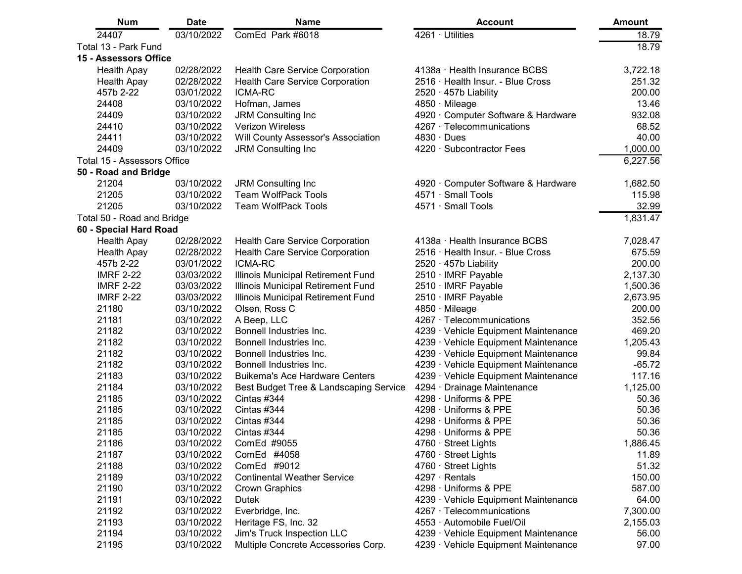| <b>Num</b>                         | <b>Date</b> | <b>Name</b>                               | <b>Account</b>                     | <b>Amount</b> |
|------------------------------------|-------------|-------------------------------------------|------------------------------------|---------------|
| 24407                              | 03/10/2022  | ComEd Park #6018                          | 4261 Utilities                     | 18.79         |
| Total 13 - Park Fund               |             |                                           |                                    | 18.79         |
| 15 - Assessors Office              |             |                                           |                                    |               |
| <b>Health Apay</b>                 | 02/28/2022  | <b>Health Care Service Corporation</b>    | 4138a Health Insurance BCBS        | 3,722.18      |
| <b>Health Apay</b>                 | 02/28/2022  | <b>Health Care Service Corporation</b>    | 2516 Health Insur. - Blue Cross    | 251.32        |
| 457b 2-22                          | 03/01/2022  | <b>ICMA-RC</b>                            | 2520 · 457b Liability              | 200.00        |
| 24408                              | 03/10/2022  | Hofman, James                             | 4850 · Mileage                     | 13.46         |
| 24409                              | 03/10/2022  | <b>JRM Consulting Inc</b>                 | 4920 Computer Software & Hardware  | 932.08        |
| 24410                              | 03/10/2022  | <b>Verizon Wireless</b>                   | 4267 Telecommunications            | 68.52         |
| 24411                              | 03/10/2022  | <b>Will County Assessor's Association</b> | $4830 \cdot$ Dues                  | 40.00         |
| 24409                              | 03/10/2022  | <b>JRM Consulting Inc</b>                 | 4220 Subcontractor Fees            | 1,000.00      |
| <b>Total 15 - Assessors Office</b> |             |                                           |                                    | 6,227.56      |
| 50 - Road and Bridge               |             |                                           |                                    |               |
| 21204                              | 03/10/2022  | <b>JRM Consulting Inc.</b>                | 4920 Computer Software & Hardware  | 1,682.50      |
| 21205                              | 03/10/2022  | <b>Team WolfPack Tools</b>                | 4571 Small Tools                   | 115.98        |
| 21205                              | 03/10/2022  | <b>Team WolfPack Tools</b>                | 4571 · Small Tools                 | 32.99         |
| Total 50 - Road and Bridge         |             |                                           |                                    | 1,831.47      |
| 60 - Special Hard Road             |             |                                           |                                    |               |
| <b>Health Apay</b>                 | 02/28/2022  | <b>Health Care Service Corporation</b>    | 4138a · Health Insurance BCBS      | 7,028.47      |
| <b>Health Apay</b>                 | 02/28/2022  | <b>Health Care Service Corporation</b>    | 2516 Health Insur. - Blue Cross    | 675.59        |
| 457b 2-22                          | 03/01/2022  | <b>ICMA-RC</b>                            | 2520 457b Liability                | 200.00        |
| <b>IMRF 2-22</b>                   | 03/03/2022  | <b>Illinois Municipal Retirement Fund</b> | 2510 · IMRF Payable                | 2,137.30      |
| <b>IMRF 2-22</b>                   | 03/03/2022  | Illinois Municipal Retirement Fund        | 2510 · IMRF Payable                | 1,500.36      |
| <b>IMRF 2-22</b>                   | 03/03/2022  | Illinois Municipal Retirement Fund        | 2510 · IMRF Payable                | 2,673.95      |
| 21180                              | 03/10/2022  | Olsen, Ross C                             | 4850 Mileage                       | 200.00        |
| 21181                              | 03/10/2022  | A Beep, LLC                               | 4267 Telecommunications            | 352.56        |
| 21182                              | 03/10/2022  | Bonnell Industries Inc.                   | 4239 Vehicle Equipment Maintenance | 469.20        |
| 21182                              | 03/10/2022  | Bonnell Industries Inc.                   | 4239 Vehicle Equipment Maintenance | 1,205.43      |
| 21182                              | 03/10/2022  | Bonnell Industries Inc.                   | 4239 Vehicle Equipment Maintenance | 99.84         |
| 21182                              | 03/10/2022  | Bonnell Industries Inc.                   | 4239 Vehicle Equipment Maintenance | $-65.72$      |
| 21183                              | 03/10/2022  | <b>Buikema's Ace Hardware Centers</b>     | 4239 Vehicle Equipment Maintenance | 117.16        |
| 21184                              | 03/10/2022  | Best Budget Tree & Landscaping Service    | 4294 Drainage Maintenance          | 1,125.00      |
| 21185                              | 03/10/2022  | Cintas #344                               | 4298 Uniforms & PPE                | 50.36         |
| 21185                              | 03/10/2022  | Cintas #344                               | 4298 · Uniforms & PPE              | 50.36         |
| 21185                              | 03/10/2022  | Cintas #344                               | 4298 Uniforms & PPE                | 50.36         |
| 21185                              | 03/10/2022  | Cintas #344                               | 4298 Uniforms & PPE                | 50.36         |
| 21186                              | 03/10/2022  | ComEd #9055                               | 4760 Street Lights                 | 1,886.45      |
| 21187                              | 03/10/2022  | ComEd #4058                               | 4760 Street Lights                 | 11.89         |
| 21188                              | 03/10/2022  | ComEd #9012                               | 4760 Street Lights                 | 51.32         |
| 21189                              | 03/10/2022  | <b>Continental Weather Service</b>        | $4297 \cdot$ Rentals               | 150.00        |
| 21190                              | 03/10/2022  | <b>Crown Graphics</b>                     | 4298 Uniforms & PPE                | 587.00        |
| 21191                              | 03/10/2022  | <b>Dutek</b>                              | 4239 Vehicle Equipment Maintenance | 64.00         |
| 21192                              | 03/10/2022  | Everbridge, Inc.                          | 4267 Telecommunications            | 7,300.00      |
| 21193                              | 03/10/2022  | Heritage FS, Inc. 32                      | 4553 Automobile Fuel/Oil           | 2,155.03      |
| 21194                              | 03/10/2022  | <b>Jim's Truck Inspection LLC</b>         | 4239 Vehicle Equipment Maintenance | 56.00         |
| 21195                              | 03/10/2022  | Multiple Concrete Accessories Corp.       | 4239 Vehicle Equipment Maintenance | 97.00         |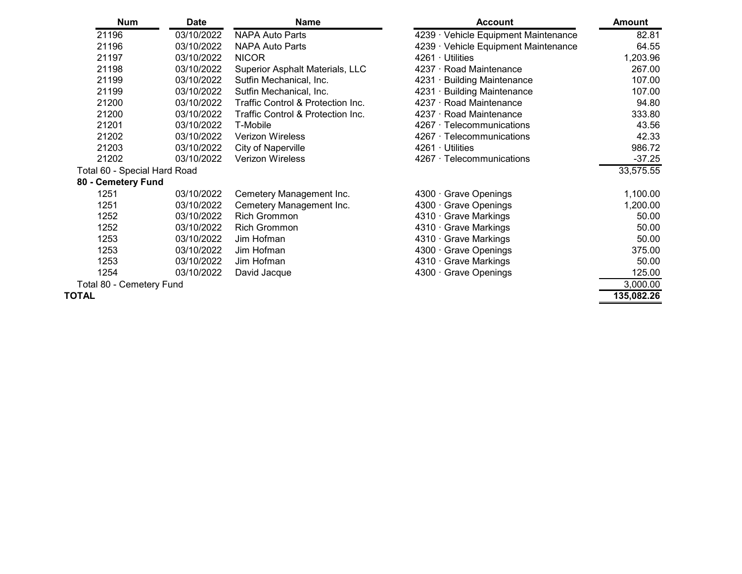| <b>Num</b>                      | <b>Date</b> | <b>Name</b>                                  | <b>Account</b>                     | <b>Amount</b> |
|---------------------------------|-------------|----------------------------------------------|------------------------------------|---------------|
| 21196                           | 03/10/2022  | <b>NAPA Auto Parts</b>                       | 4239 Vehicle Equipment Maintenance | 82.81         |
| 21196                           | 03/10/2022  | <b>NAPA Auto Parts</b>                       | 4239 Vehicle Equipment Maintenance | 64.55         |
| 21197                           | 03/10/2022  | <b>NICOR</b>                                 | 4261 Utilities                     | 1,203.96      |
| 21198                           | 03/10/2022  | <b>Superior Asphalt Materials, LLC</b>       | 4237 Road Maintenance              | 267.00        |
| 21199                           | 03/10/2022  | Sutfin Mechanical, Inc.                      | 4231 Building Maintenance          | 107.00        |
| 21199                           | 03/10/2022  | Sutfin Mechanical, Inc.                      | 4231 · Building Maintenance        | 107.00        |
| 21200                           | 03/10/2022  | <b>Traffic Control &amp; Protection Inc.</b> | 4237 · Road Maintenance            | 94.80         |
| 21200                           | 03/10/2022  | <b>Traffic Control &amp; Protection Inc.</b> | 4237 · Road Maintenance            | 333.80        |
| 21201                           | 03/10/2022  | T-Mobile                                     | 4267 · Telecommunications          | 43.56         |
| 21202                           | 03/10/2022  | <b>Verizon Wireless</b>                      | 4267 Telecommunications            | 42.33         |
| 21203                           | 03/10/2022  | <b>City of Naperville</b>                    | 4261 Utilities                     | 986.72        |
| 21202                           | 03/10/2022  | <b>Verizon Wireless</b>                      | 4267 Telecommunications            | $-37.25$      |
| Total 60 - Special Hard Road    |             |                                              |                                    | 33,575.55     |
| 80 - Cemetery Fund              |             |                                              |                                    |               |
| 1251                            | 03/10/2022  | Cemetery Management Inc.                     | 4300 Grave Openings                | 1,100.00      |
| 1251                            | 03/10/2022  | Cemetery Management Inc.                     | 4300 Grave Openings                | 1,200.00      |
| 1252                            | 03/10/2022  | <b>Rich Grommon</b>                          | 4310 Grave Markings                | 50.00         |
| 1252                            | 03/10/2022  | <b>Rich Grommon</b>                          | 4310 Grave Markings                | 50.00         |
| 1253                            | 03/10/2022  | Jim Hofman                                   | 4310 Grave Markings                | 50.00         |
| 1253                            | 03/10/2022  | Jim Hofman                                   | 4300 Grave Openings                | 375.00        |
| 1253                            | 03/10/2022  | Jim Hofman                                   | 4310 Grave Markings                | 50.00         |
| 1254                            | 03/10/2022  | David Jacque                                 | 4300 Grave Openings                | 125.00        |
| <b>Total 80 - Cemetery Fund</b> |             |                                              |                                    | 3,000.00      |
| TOTAL                           |             |                                              |                                    | 135,082.26    |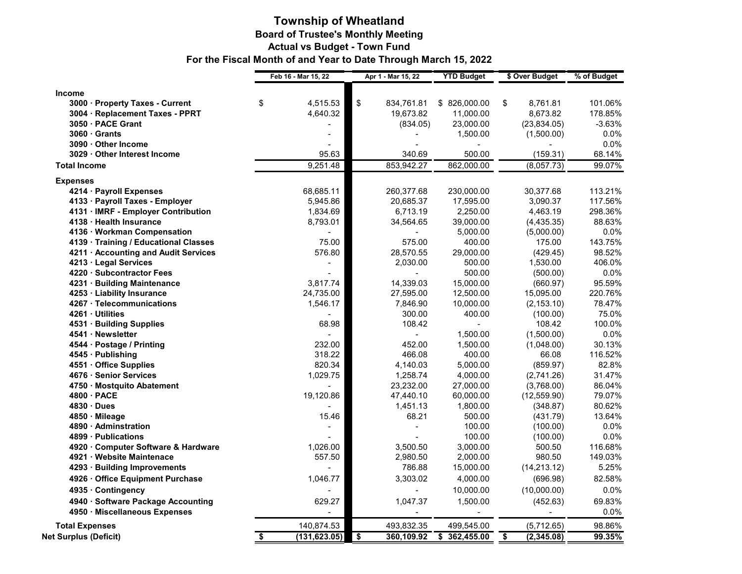## **Township of Wheatland Board of Trustee's Monthly Meeting Actual vs Budget - Town Fund For the Fiscal Month of and Year to Date Through March 15, 2022**

|                                        | Feb 16 - Mar 15, 22 | Apr 1 - Mar 15, 22  | <b>YTD Budget</b> | \$ Over Budget       | % of Budget    |
|----------------------------------------|---------------------|---------------------|-------------------|----------------------|----------------|
| <b>Income</b>                          |                     |                     |                   |                      |                |
| 3000 · Property Taxes - Current        | \$<br>4,515.53      | $\$\$<br>834,761.81 | \$826,000.00      | 8,761.81<br>\$       | 101.06%        |
| 3004 · Replacement Taxes - PPRT        | 4,640.32            | 19,673.82           | 11,000.00         | 8,673.82             | 178.85%        |
| 3050 · PACE Grant                      |                     | (834.05)            | 23,000.00         | (23, 834.05)         | $-3.63%$       |
| $3060 \cdot$ Grants                    |                     |                     | 1,500.00          | (1,500.00)           | 0.0%           |
| 3090 · Other Income                    |                     |                     |                   |                      | 0.0%           |
| 3029 · Other Interest Income           | 95.63               | 340.69              | 500.00            | (159.31)             | 68.14%         |
| <b>Total Income</b>                    | 9,251.48            | 853,942.27          | 862,000.00        | (8,057.73)           | 99.07%         |
| <b>Expenses</b>                        |                     |                     |                   |                      |                |
| 4214 · Payroll Expenses                | 68,685.11           | 260,377.68          | 230,000.00        | 30,377.68            | 113.21%        |
| 4133 · Payroll Taxes - Employer        | 5,945.86            | 20,685.37           | 17,595.00         | 3,090.37             | 117.56%        |
| 4131 · IMRF - Employer Contribution    | 1,834.69            | 6,713.19            | 2,250.00          | 4,463.19             | 298.36%        |
| 4138 · Health Insurance                | 8,793.01            | 34,564.65           | 39,000.00         | (4,435.35)           | 88.63%         |
| 4136 · Workman Compensation            |                     |                     | 5,000.00          | (5,000.00)           | 0.0%           |
| 4139 · Training / Educational Classes  | 75.00               | 575.00              | 400.00            | 175.00               | 143.75%        |
| 4211 · Accounting and Audit Services   | 576.80              | 28,570.55           | 29,000.00         | (429.45)             | 98.52%         |
| 4213 · Legal Services                  |                     | 2,030.00            | 500.00            | 1,530.00             | 406.0%         |
| 4220 · Subcontractor Fees              |                     |                     | 500.00            | (500.00)             | 0.0%           |
| 4231 · Building Maintenance            | 3,817.74            | 14,339.03           | 15,000.00         | (660.97)             | 95.59%         |
| 4253 · Liability Insurance             | 24,735.00           | 27,595.00           | 12,500.00         | 15,095.00            | 220.76%        |
| 4267 · Telecommunications              | 1,546.17            | 7,846.90            | 10,000.00         | (2, 153.10)          | 78.47%         |
| 4261 · Utilities                       |                     | 300.00              | 400.00            | (100.00)             | 75.0%          |
| 4531 · Building Supplies               | 68.98               | 108.42              |                   | 108.42               | 100.0%         |
| 4541 · Newsletter                      |                     |                     | 1,500.00          | (1,500.00)           | 0.0%           |
| 4544 · Postage / Printing              | 232.00              | 452.00              | 1,500.00          | (1,048.00)           | 30.13%         |
| 4545 · Publishing                      | 318.22              | 466.08              | 400.00            | 66.08                | 116.52%        |
| 4551 · Office Supplies                 | 820.34              | 4,140.03            | 5,000.00          | (859.97)             | 82.8%          |
| 4676 · Senior Services                 | 1,029.75            | 1,258.74            | 4,000.00          | (2,741.26)           | 31.47%         |
| 4750 · Mostquito Abatement             |                     | 23,232.00           | 27,000.00         | (3,768.00)           | 86.04%         |
| 4800 · PACE                            | 19,120.86           | 47,440.10           | 60,000.00         | (12, 559.90)         | 79.07%         |
| 4830 · Dues                            |                     | 1,451.13            | 1,800.00          | (348.87)             | 80.62%         |
| 4850 · Mileage<br>4890 · Adminstration | 15.46               | 68.21               | 500.00<br>100.00  | (431.79)             | 13.64%<br>0.0% |
| 4899 · Publications                    |                     |                     | 100.00            | (100.00)<br>(100.00) | 0.0%           |
| 4920 · Computer Software & Hardware    | 1,026.00            | 3,500.50            | 3,000.00          | 500.50               | 116.68%        |
| 4921 · Website Maintenace              | 557.50              | 2,980.50            | 2,000.00          | 980.50               | 149.03%        |
| 4293 · Building Improvements           |                     | 786.88              | 15,000.00         | (14, 213.12)         | 5.25%          |
| 4926 · Office Equipment Purchase       | 1,046.77            | 3,303.02            | 4,000.00          | (696.98)             | 82.58%         |
|                                        |                     |                     |                   |                      |                |
| 4935 · Contingency                     |                     |                     | 10,000.00         | (10,000.00)          | 0.0%           |
| 4940 · Software Package Accounting     | 629.27              | 1,047.37            | 1,500.00          | (452.63)             | 69.83%         |
| 4950 · Miscellaneous Expenses          |                     |                     |                   |                      | 0.0%           |
| <b>Total Expenses</b>                  | 140,874.53          | 493,832.35          | 499,545.00        | (5,712.65)           | 98.86%         |
| <b>Net Surplus (Deficit)</b>           | (131,623.05)<br>\$  | \$<br>360,109.92    | \$362,455.00      | (2,345.08)<br>\$.    | 99.35%         |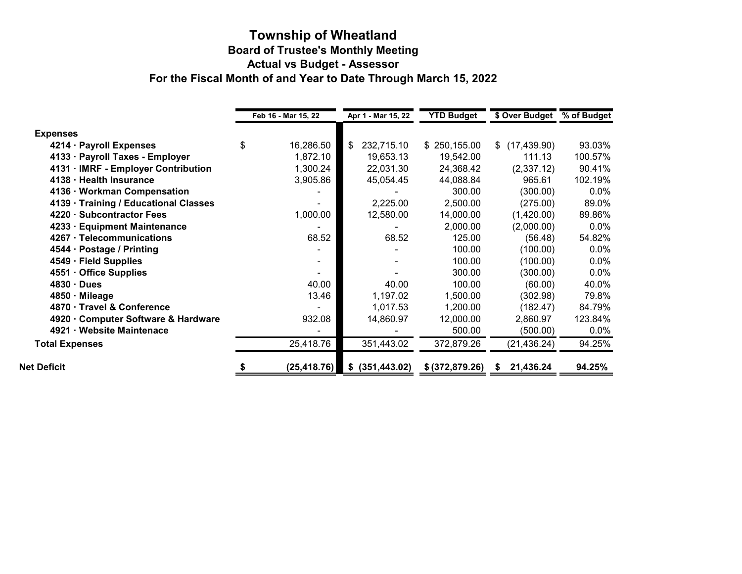### **Township of Wheatland Board of Trustee's Monthly Meeting Actual vs Budget - Assessor For the Fiscal Month of and Year to Date Through March 15, 2022**

|                                       | Feb 16 - Mar 15, 22 | Apr 1 - Mar 15, 22 | <b>YTD Budget</b> | \$ Over Budget     | % of Budget |
|---------------------------------------|---------------------|--------------------|-------------------|--------------------|-------------|
| <b>Expenses</b>                       |                     |                    |                   |                    |             |
| 4214 · Payroll Expenses               | \$<br>16,286.50     | \$<br>232,715.10   | \$250,155.00      | (17, 439.90)<br>\$ | 93.03%      |
| 4133 · Payroll Taxes - Employer       | 1,872.10            | 19,653.13          | 19,542.00         | 111.13             | 100.57%     |
| 4131 · IMRF - Employer Contribution   | 1,300.24            | 22,031.30          | 24,368.42         | (2,337.12)         | 90.41%      |
| 4138 · Health Insurance               | 3,905.86            | 45,054.45          | 44,088.84         | 965.61             | 102.19%     |
| 4136 · Workman Compensation           |                     |                    | 300.00            | (300.00)           | $0.0\%$     |
| 4139 · Training / Educational Classes |                     | 2,225.00           | 2,500.00          | (275.00)           | 89.0%       |
| 4220 · Subcontractor Fees             | 1,000.00            | 12,580.00          | 14,000.00         | (1,420.00)         | 89.86%      |
| 4233 · Equipment Maintenance          |                     |                    | 2,000.00          | (2,000.00)         | $0.0\%$     |
| 4267 · Telecommunications             | 68.52               | 68.52              | 125.00            | (56.48)            | 54.82%      |
| 4544 · Postage / Printing             |                     |                    | 100.00            | (100.00)           | $0.0\%$     |
| 4549 · Field Supplies                 |                     |                    | 100.00            | (100.00)           | $0.0\%$     |
| 4551 · Office Supplies                |                     |                    | 300.00            | (300.00)           | $0.0\%$     |
| $4830 \cdot$ Dues                     | 40.00               | 40.00              | 100.00            | (60.00)            | 40.0%       |
| 4850 · Mileage                        | 13.46               | 1,197.02           | 1,500.00          | (302.98)           | 79.8%       |
| 4870 Travel & Conference              |                     | 1,017.53           | 1,200.00          | (182.47)           | 84.79%      |
| 4920 Computer Software & Hardware     | 932.08              | 14,860.97          | 12,000.00         | 2,860.97           | 123.84%     |
| 4921 · Website Maintenace             |                     |                    | 500.00            | (500.00)           | $0.0\%$     |
| <b>Total Expenses</b>                 | 25,418.76           | 351,443.02         | 372,879.26        | (21, 436.24)       | 94.25%      |
| <b>Net Deficit</b>                    | (25, 418.76)        | \$ (351, 443.02)   | \$ (372, 879.26)  | 21,436.24          | 94.25%      |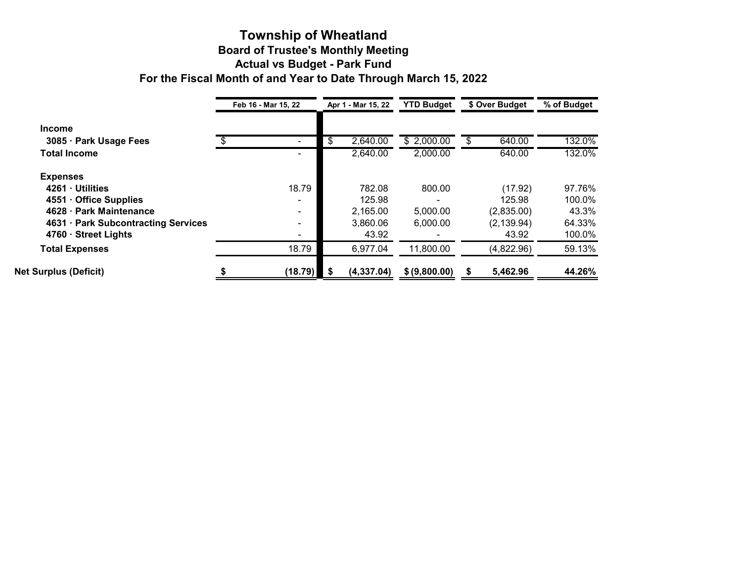### **Township of Wheatland Board of Trustee's Monthly Meeting Actual vs Budget - Park Fund For the Fiscal Month of and Year to Date Through March 15, 2022**

|                                     | Feb 16 - Mar 15, 22 | Apr 1 - Mar 15, 22 | <b>YTD Budget</b> | \$ Over Budget | % of Budget |
|-------------------------------------|---------------------|--------------------|-------------------|----------------|-------------|
| <b>Income</b>                       |                     |                    |                   |                |             |
| 3085 · Park Usage Fees              |                     | \$<br>2,640.00     | \$2,000.00        | 640.00         | 132.0%      |
| <b>Total Income</b>                 | -                   | 2,640.00           | 2,000.00          | 640.00         | 132.0%      |
| <b>Expenses</b>                     |                     |                    |                   |                |             |
| 4261 · Utilities                    | 18.79               | 782.08             | 800.00            | (17.92)        | 97.76%      |
| 4551 Office Supplies                | $\blacksquare$      | 125.98             | $\blacksquare$    | 125.98         | 100.0%      |
| 4628 · Park Maintenance             | $\blacksquare$      | 2,165.00           | 5,000.00          | (2,835.00)     | 43.3%       |
| 4631 · Park Subcontracting Services | $\blacksquare$      | 3,860.06           | 6,000.00          | (2, 139.94)    | 64.33%      |
| 4760 · Street Lights                |                     | 43.92              |                   | 43.92          | 100.0%      |
| <b>Total Expenses</b>               | 18.79               | 6,977.04           | 11,800.00         | (4,822.96)     | 59.13%      |
| <b>Net Surplus (Deficit)</b>        | (18.79)             | (4, 337.04)        | \$ (9,800.00)     | 5,462.96       | 44.26%      |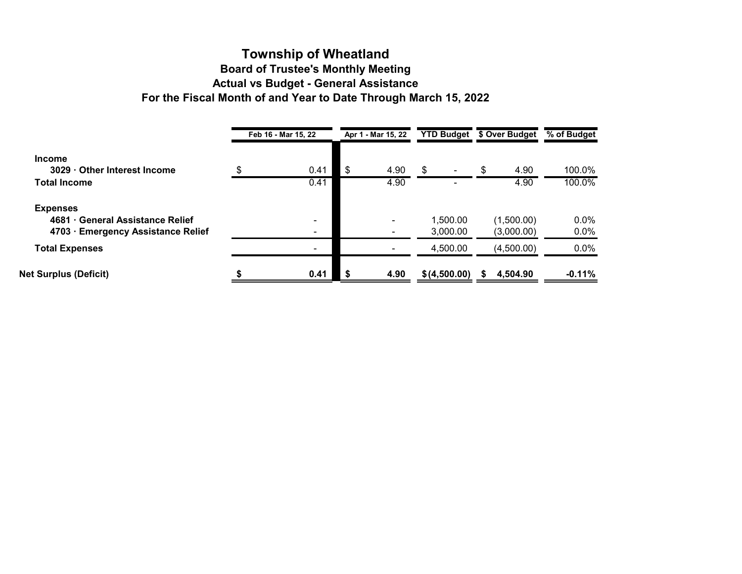### **Township of Wheatland Board of Trustee's Monthly Meeting Actual vs Budget - General Assistance For the Fiscal Month of and Year to Date Through March 15, 2022**

|                                                                                         | Feb 16 - Mar 15, 22 | Apr 1 - Mar 15, 22               | <b>YTD Budget</b>    | \$ Over Budget           | % of Budget        |
|-----------------------------------------------------------------------------------------|---------------------|----------------------------------|----------------------|--------------------------|--------------------|
| <b>Income</b><br>3029 Other Interest Income                                             | \$<br>0.41          | \$<br>4.90                       | \$                   | 4.90<br>\$               | 100.0%             |
| <b>Total Income</b>                                                                     | 0.41                | 4.90                             |                      | 4.90                     | 100.0%             |
| <b>Expenses</b><br>4681 General Assistance Relief<br>4703 · Emergency Assistance Relief |                     | $\blacksquare$<br>$\blacksquare$ | 1,500.00<br>3,000.00 | (1,500.00)<br>(3,000.00) | $0.0\%$<br>$0.0\%$ |
| <b>Total Expenses</b>                                                                   |                     |                                  | 4,500.00             | (4,500.00)               | $0.0\%$            |
| <b>Net Surplus (Deficit)</b>                                                            | 0.41                | \$<br>4.90                       | \$(4,500.00)         | 4,504.90                 | $-0.11%$           |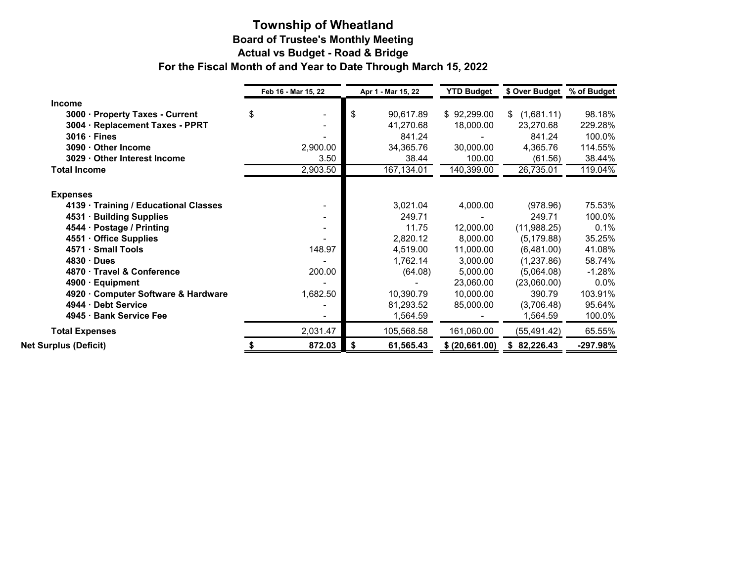#### **Township of Wheatland Board of Trustee's Monthly Meeting Actual vs Budget - Road & Bridge For the Fiscal Month of and Year to Date Through March 15, 2022**

|                                             | Feb 16 - Mar 15, 22 |     | Apr 1 - Mar 15, 22 | <b>YTD Budget</b> | \$ Over Budget   | % of Budget |
|---------------------------------------------|---------------------|-----|--------------------|-------------------|------------------|-------------|
| <b>Income</b>                               |                     |     |                    |                   |                  |             |
| $3000 -$<br><b>Property Taxes - Current</b> | \$                  | \$  | 90,617.89          | \$92,299.00       | (1,681.11)<br>\$ | 98.18%      |
| 3004 · Replacement Taxes - PPRT             |                     |     | 41,270.68          | 18,000.00         | 23,270.68        | 229.28%     |
| $3016 \cdot$ Fines                          |                     |     | 841.24             |                   | 841.24           | 100.0%      |
| 3090 · Other Income                         | 2,900.00            |     | 34,365.76          | 30,000.00         | 4,365.76         | 114.55%     |
| 3029 · Other Interest Income                | 3.50                |     | 38.44              | 100.00            | (61.56)          | 38.44%      |
| <b>Total Income</b>                         | 2,903.50            |     | 167,134.01         | 140,399.00        | 26,735.01        | 119.04%     |
| <b>Expenses</b>                             |                     |     |                    |                   |                  |             |
| 4139 · Training / Educational Classes       |                     |     | 3,021.04           | 4,000.00          | (978.96)         | 75.53%      |
| 4531 · Building Supplies                    |                     |     | 249.71             |                   | 249.71           | 100.0%      |
| 4544 · Postage / Printing                   |                     |     | 11.75              | 12,000.00         | (11,988.25)      | 0.1%        |
| 4551 · Office Supplies                      |                     |     | 2,820.12           | 8,000.00          | (5, 179.88)      | 35.25%      |
| 4571 · Small Tools                          | 148.97              |     | 4,519.00           | 11,000.00         | (6,481.00)       | 41.08%      |
| $4830 \cdot$ Dues                           |                     |     | 1,762.14           | 3,000.00          | (1,237.86)       | 58.74%      |
| 4870 · Travel & Conference                  | 200.00              |     | (64.08)            | 5,000.00          | (5,064.08)       | $-1.28%$    |
| 4900 · Equipment                            |                     |     |                    | 23,060.00         | (23,060.00)      | $0.0\%$     |
| 4920 Computer Software & Hardware           | 1,682.50            |     | 10,390.79          | 10,000.00         | 390.79           | 103.91%     |
| 4944 · Debt Service                         |                     |     | 81,293.52          | 85,000.00         | (3,706.48)       | 95.64%      |
| 4945 · Bank Service Fee                     |                     |     | 1,564.59           |                   | 1,564.59         | 100.0%      |
| <b>Total Expenses</b>                       | 2,031.47            |     | 105,568.58         | 161,060.00        | (55, 491.42)     | 65.55%      |
| <b>Net Surplus (Deficit)</b>                | 872.03              | -\$ | 61,565.43          | \$ (20,661.00)    | 82,226.43<br>S.  | -297.98%    |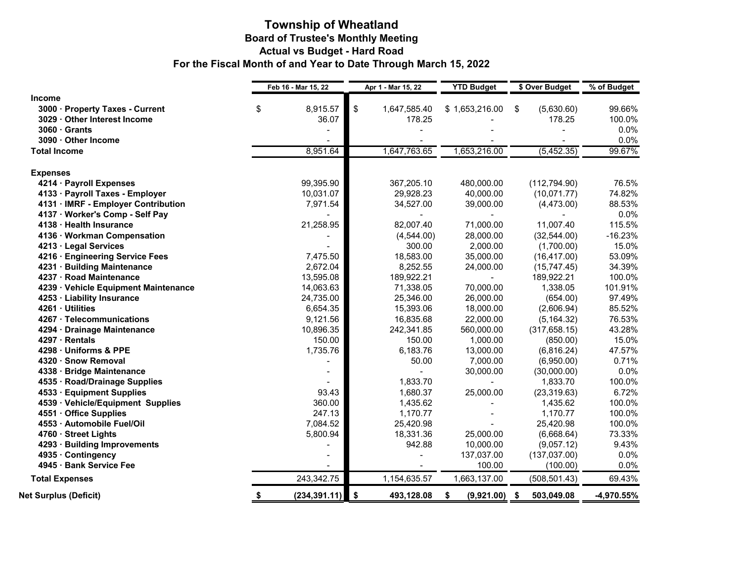### **Township of Wheatland Board of Trustee's Monthly Meeting Actual vs Budget - Hard Road For the Fiscal Month of and Year to Date Through March 15, 2022**

|                                      | Feb 16 - Mar 15, 22 |               | Apr 1 - Mar 15, 22 |              | <b>YTD Budget</b> | \$ Over Budget   | % of Budget |  |
|--------------------------------------|---------------------|---------------|--------------------|--------------|-------------------|------------------|-------------|--|
| <b>Income</b>                        |                     |               |                    |              |                   |                  |             |  |
| 3000 · Property Taxes - Current      | \$                  | 8,915.57      | $\sqrt[6]{3}$      | 1,647,585.40 | \$1,653,216.00    | \$<br>(5,630.60) | 99.66%      |  |
| 3029 · Other Interest Income         |                     | 36.07         |                    | 178.25       |                   | 178.25           | 100.0%      |  |
| $3060 \cdot$ Grants                  |                     |               |                    |              |                   |                  | 0.0%        |  |
| 3090 · Other Income                  |                     |               |                    |              |                   |                  | 0.0%        |  |
| <b>Total Income</b>                  |                     | 8,951.64      |                    | 1,647,763.65 | 1,653,216.00      | (5,452.35)       | 99.67%      |  |
| <b>Expenses</b>                      |                     |               |                    |              |                   |                  |             |  |
| 4214 · Payroll Expenses              |                     | 99,395.90     |                    | 367,205.10   | 480,000.00        | (112, 794.90)    | 76.5%       |  |
| 4133 · Payroll Taxes - Employer      |                     | 10,031.07     |                    | 29,928.23    | 40,000.00         | (10,071.77)      | 74.82%      |  |
| 4131 · IMRF - Employer Contribution  |                     | 7,971.54      |                    | 34,527.00    | 39,000.00         | (4,473.00)       | 88.53%      |  |
| 4137 · Worker's Comp - Self Pay      |                     |               |                    |              |                   |                  | 0.0%        |  |
| 4138 · Health Insurance              |                     | 21,258.95     |                    | 82,007.40    | 71,000.00         | 11,007.40        | 115.5%      |  |
| 4136 · Workman Compensation          |                     |               |                    | (4,544.00)   | 28,000.00         | (32,544.00)      | $-16.23%$   |  |
| 4213 · Legal Services                |                     |               |                    | 300.00       | 2,000.00          | (1,700.00)       | 15.0%       |  |
| 4216 · Engineering Service Fees      |                     | 7,475.50      |                    | 18,583.00    | 35,000.00         | (16, 417.00)     | 53.09%      |  |
| 4231 · Building Maintenance          |                     | 2,672.04      |                    | 8,252.55     | 24,000.00         | (15, 747.45)     | 34.39%      |  |
| 4237 · Road Maintenance              |                     | 13,595.08     |                    | 189,922.21   |                   | 189,922.21       | 100.0%      |  |
| 4239 · Vehicle Equipment Maintenance |                     | 14,063.63     |                    | 71,338.05    | 70,000.00         | 1,338.05         | 101.91%     |  |
| 4253 · Liability Insurance           |                     | 24,735.00     |                    | 25,346.00    | 26,000.00         | (654.00)         | 97.49%      |  |
| 4261 · Utilities                     |                     | 6,654.35      |                    | 15,393.06    | 18,000.00         | (2,606.94)       | 85.52%      |  |
| 4267 · Telecommunications            |                     | 9,121.56      |                    | 16,835.68    | 22,000.00         | (5, 164.32)      | 76.53%      |  |
| 4294 · Drainage Maintenance          |                     | 10,896.35     |                    | 242,341.85   | 560,000.00        | (317, 658.15)    | 43.28%      |  |
| 4297 · Rentals                       |                     | 150.00        |                    | 150.00       | 1,000.00          | (850.00)         | 15.0%       |  |
| 4298 · Uniforms & PPE                |                     | 1,735.76      |                    | 6,183.76     | 13,000.00         | (6,816.24)       | 47.57%      |  |
| 4320 · Snow Removal                  |                     |               |                    | 50.00        | 7,000.00          | (6,950.00)       | 0.71%       |  |
| 4338 · Bridge Maintenance            |                     |               |                    |              | 30,000.00         | (30,000.00)      | 0.0%        |  |
| 4535 · Road/Drainage Supplies        |                     |               |                    | 1,833.70     |                   | 1,833.70         | 100.0%      |  |
| 4533 · Equipment Supplies            |                     | 93.43         |                    | 1,680.37     | 25,000.00         | (23, 319.63)     | 6.72%       |  |
| 4539 · Vehicle/Equipment Supplies    |                     | 360.00        |                    | 1,435.62     |                   | 1,435.62         | 100.0%      |  |
| 4551 · Office Supplies               |                     | 247.13        |                    | 1,170.77     |                   | 1,170.77         | 100.0%      |  |
| 4553 · Automobile Fuel/Oil           |                     | 7,084.52      |                    | 25,420.98    |                   | 25,420.98        | 100.0%      |  |
| 4760 · Street Lights                 |                     | 5,800.94      |                    | 18,331.36    | 25,000.00         | (6,668.64)       | 73.33%      |  |
| 4293 · Building Improvements         |                     |               |                    | 942.88       | 10,000.00         | (9,057.12)       | 9.43%       |  |
| 4935 · Contingency                   |                     |               |                    |              | 137,037.00        | (137,037.00)     | 0.0%        |  |
| 4945 · Bank Service Fee              |                     |               |                    |              | 100.00            | (100.00)         | 0.0%        |  |
| <b>Total Expenses</b>                |                     | 243,342.75    |                    | 1,154,635.57 | 1,663,137.00      | (508, 501.43)    | 69.43%      |  |
| <b>Net Surplus (Deficit)</b>         | \$                  | (234, 391.11) | <b>S</b>           | 493,128.08   | \$<br>(9,921.00)  | \$<br>503,049.08 | -4,970.55%  |  |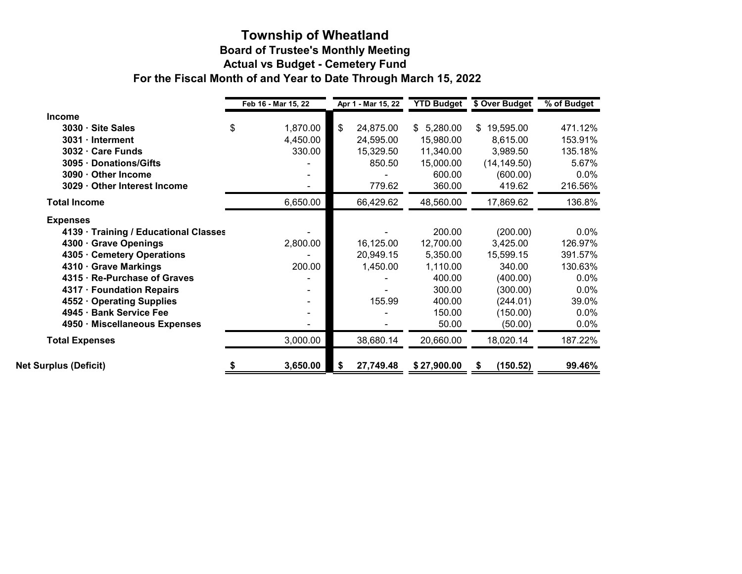## **Board of Trustee's Monthly Meeting Actual vs Budget - Cemetery Fund Township of Wheatland For the Fiscal Month of and Year to Date Through March 15, 2022**

|                                       | Feb 16 - Mar 15, 22 |    | Apr 1 - Mar 15, 22 | <b>YTD Budget</b> | \$ Over Budget  | % of Budget |  |
|---------------------------------------|---------------------|----|--------------------|-------------------|-----------------|-------------|--|
| <b>Income</b>                         |                     |    |                    |                   |                 |             |  |
| 3030 · Site Sales                     | \$<br>1,870.00      | \$ | 24,875.00          | 5,280.00<br>\$    | 19,595.00<br>\$ | 471.12%     |  |
| $3031 \cdot Internet$                 | 4,450.00            |    | 24,595.00          | 15,980.00         | 8,615.00        | 153.91%     |  |
| 3032 · Care Funds                     | 330.00              |    | 15,329.50          | 11,340.00         | 3,989.50        | 135.18%     |  |
| 3095 · Donations/Gifts                |                     |    | 850.50             | 15,000.00         | (14, 149.50)    | 5.67%       |  |
| 3090 · Other Income                   |                     |    |                    | 600.00            | (600.00)        | $0.0\%$     |  |
| 3029 · Other Interest Income          |                     |    | 779.62             | 360.00            | 419.62          | 216.56%     |  |
| <b>Total Income</b>                   | 6,650.00            |    | 66,429.62          | 48,560.00         | 17,869.62       | 136.8%      |  |
| <b>Expenses</b>                       |                     |    |                    |                   |                 |             |  |
| 4139 · Training / Educational Classes |                     |    |                    | 200.00            | (200.00)        | $0.0\%$     |  |
| 4300 · Grave Openings                 | 2,800.00            |    | 16,125.00          | 12,700.00         | 3,425.00        | 126.97%     |  |
| 4305 · Cemetery Operations            |                     |    | 20,949.15          | 5,350.00          | 15,599.15       | 391.57%     |  |
| 4310 · Grave Markings                 | 200.00              |    | 1,450.00           | 1,110.00          | 340.00          | 130.63%     |  |
| 4315 · Re-Purchase of Graves          |                     |    |                    | 400.00            | (400.00)        | 0.0%        |  |
| 4317 · Foundation Repairs             |                     |    |                    | 300.00            | (300.00)        | 0.0%        |  |
| 4552 Operating Supplies               |                     |    | 155.99             | 400.00            | (244.01)        | 39.0%       |  |
| 4945 · Bank Service Fee               |                     |    |                    | 150.00            | (150.00)        | $0.0\%$     |  |
| 4950 · Miscellaneous Expenses         |                     |    |                    | 50.00             | (50.00)         | $0.0\%$     |  |
| <b>Total Expenses</b>                 | 3,000.00            |    | 38,680.14          | 20,660.00         | 18,020.14       | 187.22%     |  |
| <b>Net Surplus (Deficit)</b>          | 3,650.00            | S  | 27,749.48          | \$27,900.00       | (150.52)        | 99.46%      |  |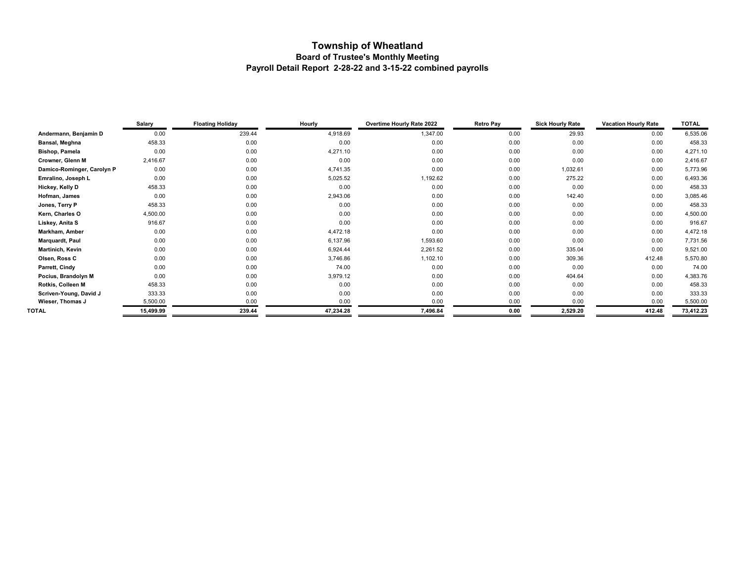## **Township of Wheatland Board of Trustee's Monthly Meeting Payroll Detail Report 2-28-22 and 3-15-22 combined payrolls**

|                            | Salary    | <b>Floating Holiday</b> | Hourly    | <b>Overtime Hourly Rate 2022</b> | <b>Retro Pay</b><br><b>Sick Hourly Rate</b> |          | <b>Vacation Hourly Rate</b> | <b>TOTAL</b> |
|----------------------------|-----------|-------------------------|-----------|----------------------------------|---------------------------------------------|----------|-----------------------------|--------------|
| Andermann, Benjamin D      | 0.00      | 239.44                  | 4,918.69  | 1,347.00                         | 0.00                                        | 29.93    | 0.00                        | 6,535.06     |
| Bansal, Meghna             | 458.33    | 0.00                    | 0.00      | 0.00                             | 0.00                                        | 0.00     | 0.00                        | 458.33       |
| <b>Bishop, Pamela</b>      | 0.00      | 0.00                    | 4,271.10  | 0.00                             | 0.00                                        | 0.00     | 0.00                        | 4,271.10     |
| Crowner, Glenn M           | 2,416.67  | 0.00                    | 0.00      | 0.00                             | 0.00                                        | 0.00     | 0.00                        | 2,416.67     |
| Damico-Rominger, Carolyn P | 0.00      | 0.00                    | 4,741.35  | 0.00                             | 0.00                                        | 1,032.61 | 0.00                        | 5,773.96     |
| Emralino, Joseph L         | 0.00      | 0.00                    | 5,025.52  | 1,192.62                         | 0.00                                        | 275.22   | 0.00                        | 6,493.36     |
| Hickey, Kelly D            | 458.33    | 0.00                    | 0.00      | 0.00                             | 0.00                                        | 0.00     | 0.00                        | 458.33       |
| Hofman, James              | 0.00      | 0.00                    | 2,943.06  | 0.00                             | 0.00                                        | 142.40   | 0.00                        | 3,085.46     |
| Jones, Terry P             | 458.33    | 0.00                    | 0.00      | 0.00                             | 0.00                                        | 0.00     | 0.00                        | 458.33       |
| Kern, Charles O            | 4,500.00  | 0.00                    | 0.00      | 0.00                             | 0.00                                        | 0.00     | 0.00                        | 4,500.00     |
| Liskey, Anita S            | 916.67    | 0.00                    | 0.00      | 0.00                             | 0.00                                        | 0.00     | 0.00                        | 916.67       |
| Markham, Amber             | 0.00      | 0.00                    | 4,472.18  | 0.00                             | 0.00                                        | 0.00     | 0.00                        | 4,472.18     |
| Marquardt, Paul            | 0.00      | 0.00                    | 6,137.96  | 1,593.60                         | 0.00                                        | 0.00     | 0.00                        | 7,731.56     |
| Martinich, Kevin           | 0.00      | 0.00                    | 6,924.44  | 2,261.52                         | 0.00                                        | 335.04   | 0.00                        | 9,521.00     |
| Olsen, Ross C              | 0.00      | 0.00                    | 3,746.86  | 1,102.10                         | 0.00                                        | 309.36   | 412.48                      | 5,570.80     |
| Parrett, Cindy             | 0.00      | 0.00                    | 74.00     | 0.00                             | 0.00                                        | 0.00     | 0.00                        | 74.00        |
| Pocius, Brandolyn M        | 0.00      | 0.00                    | 3,979.12  | 0.00                             | 0.00                                        | 404.64   | 0.00                        | 4,383.76     |
| Rotkis, Colleen M          | 458.33    | 0.00                    | 0.00      | 0.00                             | 0.00                                        | 0.00     | 0.00                        | 458.33       |
| Scriven-Young, David J     | 333.33    | 0.00                    | 0.00      | 0.00                             | 0.00                                        | 0.00     | 0.00                        | 333.33       |
| Wieser, Thomas J           | 5,500.00  | 0.00                    | 0.00      | 0.00                             | 0.00                                        | 0.00     | 0.00                        | 5,500.00     |
| TOTAL                      | 15,499.99 | 239.44                  | 47,234.28 | 7,496.84                         | 0.00                                        | 2,529.20 | 412.48                      | 73,412.23    |